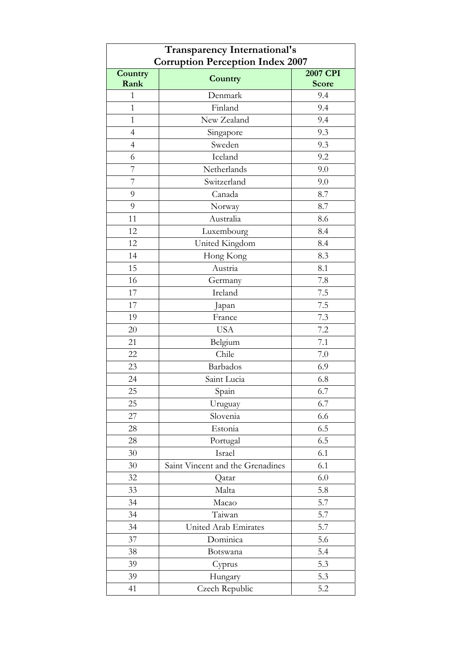| <b>Transparency International's</b><br><b>Corruption Perception Index 2007</b> |                                  |                          |  |
|--------------------------------------------------------------------------------|----------------------------------|--------------------------|--|
| Country<br>Rank                                                                | Country                          | 2007 CPI<br><b>Score</b> |  |
| $\overline{1}$                                                                 | Denmark                          | 9.4                      |  |
| $\mathbf{1}$                                                                   | Finland                          | 9.4                      |  |
| $\mathbf{1}$                                                                   | New Zealand                      | 9.4                      |  |
| $\overline{4}$                                                                 | Singapore                        | 9.3                      |  |
| $\overline{4}$                                                                 | Sweden                           | 9.3                      |  |
| 6                                                                              | Iceland                          | 9.2                      |  |
| 7                                                                              | Netherlands                      | 9.0                      |  |
| 7                                                                              | Switzerland                      | 9.0                      |  |
| 9                                                                              | Canada                           | 8.7                      |  |
| 9                                                                              | Norway                           | 8.7                      |  |
| 11                                                                             | Australia                        | 8.6                      |  |
| 12                                                                             | Luxembourg                       | 8.4                      |  |
| 12                                                                             | United Kingdom                   | 8.4                      |  |
| 14                                                                             | Hong Kong                        | 8.3                      |  |
| 15                                                                             | Austria                          | 8.1                      |  |
| 16                                                                             | Germany                          | 7.8                      |  |
| 17                                                                             | Ireland                          | 7.5                      |  |
| 17                                                                             | Japan                            | 7.5                      |  |
| 19                                                                             | France                           | 7.3                      |  |
| 20                                                                             | <b>USA</b>                       | 7.2                      |  |
| 21                                                                             | Belgium                          | 7.1                      |  |
| 22                                                                             | Chile                            | 7.0                      |  |
| 23                                                                             | Barbados                         | 6.9                      |  |
| 24                                                                             | Saint Lucia                      | 6.8                      |  |
| 25                                                                             | Spain                            | 6.7                      |  |
| 25                                                                             | Uruguay                          | 6.7                      |  |
| 27                                                                             | Slovenia                         | 6.6                      |  |
| 28                                                                             | Estonia                          | 6.5                      |  |
| 28                                                                             | Portugal                         | 6.5                      |  |
| 30                                                                             | Israel                           | 6.1                      |  |
| 30                                                                             | Saint Vincent and the Grenadines | 6.1                      |  |
| 32                                                                             | Qatar                            | 6.0                      |  |
| 33                                                                             | Malta                            | 5.8                      |  |
| 34                                                                             | Macao                            | 5.7                      |  |
| 34                                                                             | Taiwan                           | 5.7                      |  |
| 34                                                                             | United Arab Emirates             | 5.7                      |  |
| 37                                                                             | Dominica                         | 5.6                      |  |
| 38                                                                             | Botswana                         | 5.4                      |  |
| 39                                                                             | Cyprus                           | 5.3                      |  |
| 39                                                                             | Hungary                          | 5.3                      |  |
| 41                                                                             | Czech Republic                   | 5.2                      |  |
|                                                                                |                                  |                          |  |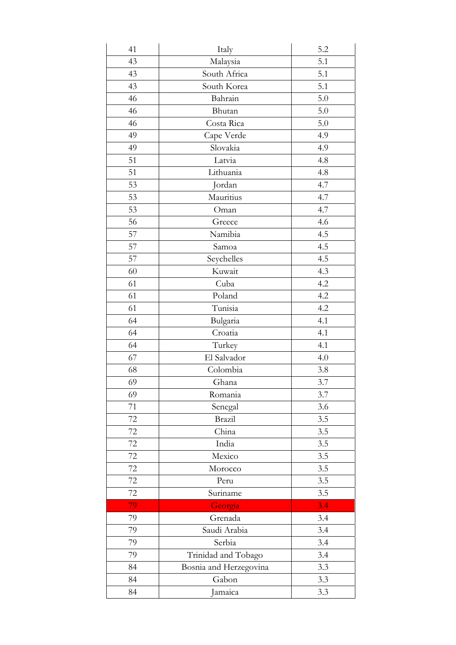| 41 | Italy                  | 5.2 |
|----|------------------------|-----|
| 43 | Malaysia               | 5.1 |
| 43 | South Africa           | 5.1 |
| 43 | South Korea            | 5.1 |
| 46 | Bahrain                | 5.0 |
| 46 | Bhutan                 | 5.0 |
| 46 | Costa Rica             | 5.0 |
| 49 | Cape Verde             | 4.9 |
| 49 | Slovakia               | 4.9 |
| 51 | Latvia                 | 4.8 |
| 51 | Lithuania              | 4.8 |
| 53 | Jordan                 | 4.7 |
| 53 | Mauritius              | 4.7 |
| 53 | Oman                   | 4.7 |
| 56 | Greece                 | 4.6 |
| 57 | Namibia                | 4.5 |
| 57 | Samoa                  | 4.5 |
| 57 | Seychelles             | 4.5 |
| 60 | Kuwait                 | 4.3 |
| 61 | Cuba                   | 4.2 |
| 61 | Poland                 | 4.2 |
| 61 | Tunisia                | 4.2 |
| 64 | Bulgaria               | 4.1 |
| 64 | Croatia                | 4.1 |
| 64 | Turkey                 | 4.1 |
| 67 | El Salvador            | 4.0 |
| 68 | Colombia               | 3.8 |
| 69 | Ghana                  | 3.7 |
| 69 | Romania                | 3.7 |
| 71 | Senegal                | 3.6 |
| 72 | Brazil                 | 3.5 |
| 72 | China                  | 3.5 |
| 72 | India                  | 3.5 |
| 72 | Mexico                 | 3.5 |
| 72 | Morocco                | 3.5 |
| 72 | Peru                   | 3.5 |
| 72 | Suriname               | 3.5 |
| 79 | Georgia                | 3.4 |
| 79 | Grenada                | 3.4 |
| 79 | Saudi Arabia           | 3.4 |
| 79 | Serbia                 | 3.4 |
| 79 | Trinidad and Tobago    | 3.4 |
| 84 | Bosnia and Herzegovina | 3.3 |
| 84 | Gabon                  | 3.3 |
| 84 | Jamaica                | 3.3 |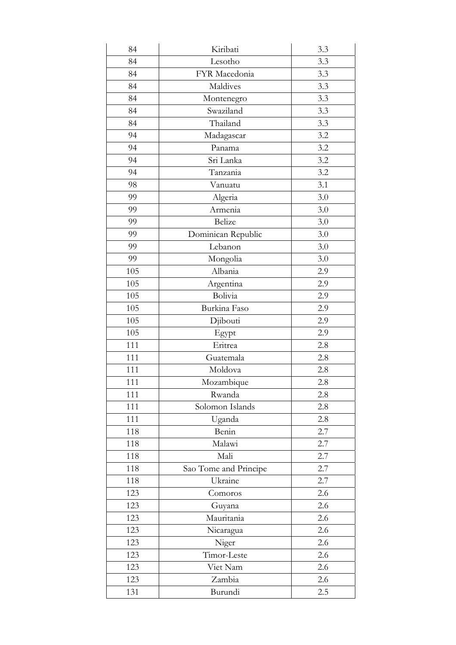| 84  | Kiribati              | 3.3 |
|-----|-----------------------|-----|
| 84  | Lesotho               | 3.3 |
| 84  | FYR Macedonia         | 3.3 |
| 84  | Maldives              | 3.3 |
| 84  | Montenegro            | 3.3 |
| 84  | Swaziland             | 3.3 |
| 84  | Thailand              | 3.3 |
| 94  | Madagascar            | 3.2 |
| 94  | Panama                | 3.2 |
| 94  | Sri Lanka             | 3.2 |
| 94  | Tanzania              | 3.2 |
| 98  | Vanuatu               | 3.1 |
| 99  | Algeria               | 3.0 |
| 99  | Armenia               | 3.0 |
| 99  | <b>Belize</b>         | 3.0 |
| 99  | Dominican Republic    | 3.0 |
| 99  | Lebanon               | 3.0 |
| 99  | Mongolia              | 3.0 |
| 105 | Albania               | 2.9 |
| 105 | Argentina             | 2.9 |
| 105 | Bolivia               | 2.9 |
| 105 | Burkina Faso          | 2.9 |
| 105 | Djibouti              | 2.9 |
| 105 | Egypt                 | 2.9 |
| 111 | Eritrea               | 2.8 |
| 111 | Guatemala             | 2.8 |
| 111 | Moldova               | 2.8 |
| 111 | Mozambique            | 2.8 |
| 111 | Rwanda                | 2.8 |
| 111 | Solomon Islands       | 2.8 |
| 111 | Uganda                | 2.8 |
| 118 | Benin                 | 2.7 |
| 118 | Malawi                | 2.7 |
| 118 | Mali                  | 2.7 |
| 118 | Sao Tome and Principe | 2.7 |
| 118 | Ukraine               | 2.7 |
| 123 | Comoros               | 2.6 |
| 123 | Guyana                | 2.6 |
| 123 | Mauritania            | 2.6 |
| 123 | Nicaragua             | 2.6 |
| 123 | Niger                 | 2.6 |
| 123 | Timor-Leste           | 2.6 |
| 123 | Viet Nam              | 2.6 |
| 123 | Zambia                | 2.6 |
| 131 | Burundi               | 2.5 |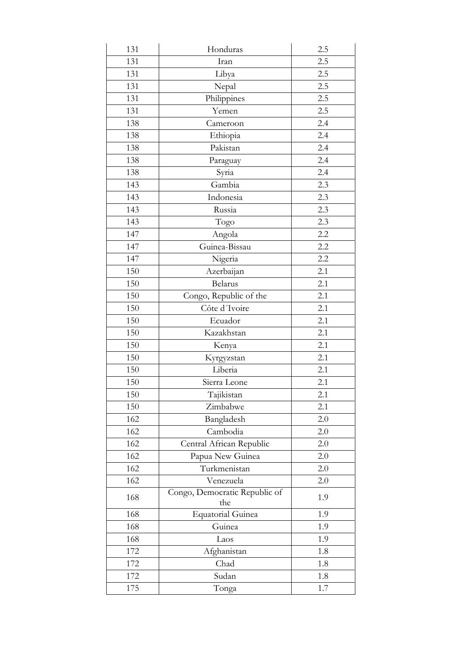| 131 | Honduras                             | 2.5 |
|-----|--------------------------------------|-----|
| 131 | Iran                                 | 2.5 |
| 131 | Libya                                | 2.5 |
| 131 | Nepal                                | 2.5 |
| 131 | Philippines                          | 2.5 |
| 131 | Yemen                                | 2.5 |
| 138 | Cameroon                             | 2.4 |
| 138 | Ethiopia                             | 2.4 |
| 138 | Pakistan                             | 2.4 |
| 138 | Paraguay                             | 2.4 |
| 138 | Syria                                | 2.4 |
| 143 | Gambia                               | 2.3 |
| 143 | Indonesia                            | 2.3 |
| 143 | Russia                               | 2.3 |
| 143 | Togo                                 | 2.3 |
| 147 | Angola                               | 2.2 |
| 147 | Guinea-Bissau                        | 2.2 |
| 147 | Nigeria                              | 2.2 |
| 150 | Azerbaijan                           | 2.1 |
| 150 | <b>Belarus</b>                       | 2.1 |
| 150 | Congo, Republic of the               | 2.1 |
| 150 | Côte d'Ivoire                        | 2.1 |
| 150 | Ecuador                              | 2.1 |
| 150 | Kazakhstan                           | 2.1 |
| 150 | Kenya                                | 2.1 |
| 150 | Kyrgyzstan                           | 2.1 |
| 150 | Liberia                              | 2.1 |
| 150 | Sierra Leone                         | 2.1 |
| 150 | Tajikistan                           | 2.1 |
| 150 | Zimbabwe                             | 2.1 |
| 162 | Bangladesh                           | 2.0 |
| 162 | Cambodia                             | 2.0 |
| 162 | Central African Republic             | 2.0 |
| 162 | Papua New Guinea                     | 2.0 |
| 162 | Turkmenistan                         | 2.0 |
| 162 | Venezuela                            | 2.0 |
| 168 | Congo, Democratic Republic of<br>the | 1.9 |
| 168 | <b>Equatorial Guinea</b>             | 1.9 |
| 168 | Guinea                               | 1.9 |
| 168 | Laos                                 | 1.9 |
| 172 | Afghanistan                          | 1.8 |
| 172 | Chad                                 | 1.8 |
| 172 | Sudan                                | 1.8 |
| 175 | Tonga                                | 1.7 |
|     |                                      |     |